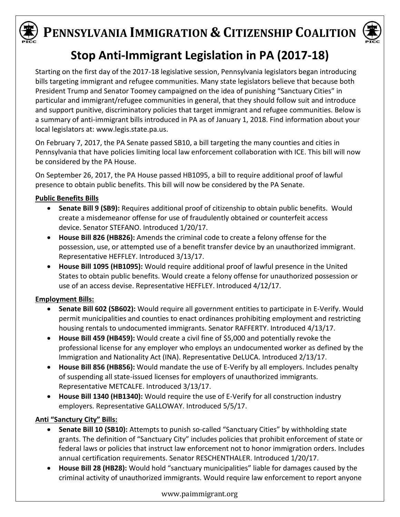



## **Stop Anti-Immigrant Legislation in PA (2017-18)**

Starting on the first day of the 2017-18 legislative session, Pennsylvania legislators began introducing bills targeting immigrant and refugee communities. Many state legislators believe that because both President Trump and Senator Toomey campaigned on the idea of punishing "Sanctuary Cities" in particular and immigrant/refugee communities in general, that they should follow suit and introduce and support punitive, discriminatory policies that target immigrant and refugee communities. Below is a summary of anti-immigrant bills introduced in PA as of January 1, 2018. Find information about your local legislators at: [www.legis.state.pa.us.](http://www.legis.state.pa.us/cfdocs/legis/home/findyourlegislator/)

On February 7, 2017, the PA Senate passed SB10, a bill targeting the many counties and cities in Pennsylvania that have policies limiting local law enforcement collaboration with ICE. This bill will now be considered by the PA House.

On September 26, 2017, the PA House passed HB1095, a bill to require additional proof of lawful presence to obtain public benefits. This bill will now be considered by the PA Senate.

### **Public Benefits Bills**

- **Senate Bill 9 (SB9):** Requires additional proof of citizenship to obtain public benefits. Would create a misdemeanor offense for use of fraudulently obtained or counterfeit access device. Senator STEFANO. Introduced 1/20/17.
- **House Bill 826 (HB826):** Amends the criminal code to create a felony offense for the possession, use, or attempted use of a benefit transfer device by an unauthorized immigrant. Representative HEFFLEY. Introduced 3/13/17.
- **House Bill 1095 (HB1095):** Would require additional proof of lawful presence in the United States to obtain public benefits. Would create a felony offense for unauthorized possession or use of an access devise. Representative HEFFLEY. Introduced 4/12/17.

## **Employment Bills:**

- **Senate Bill 602 (SB602):** Would require all government entities to participate in E-Verify. Would permit municipalities and counties to enact ordinances prohibiting employment and restricting housing rentals to undocumented immigrants. Senator RAFFERTY. Introduced 4/13/17.
- **House Bill 459 (HB459):** Would create a civil fine of \$5,000 and potentially revoke the professional license for any employer who employs an undocumented worker as defined by the Immigration and Nationality Act (INA). Representative [DeLUCA.](http://www.legis.state.pa.us/cfdocs/legis/home/member_information/house_bio.cfm?id=47) Introduced 2/13/17.
- **House Bill 856 (HB856):** Would mandate the use of E-Verify by all employers. Includes penalty of suspending all state-issued licenses for employers of unauthorized immigrants. Representative METCALFE. Introduced 3/13/17.
- **House Bill 1340 (HB1340):** Would require the use of E-Verify for all construction industry employers. Representative GALLOWAY. Introduced 5/5/17.

## **Anti "Sanctury City" Bills:**

- **Senate Bill 10 (SB10):** Attempts to punish so-called "Sanctuary Cities" by withholding state grants. The definition of "Sanctuary City" includes policies that prohibit enforcement of state or federal laws or policies that instruct law enforcement not to honor immigration orders. Includes annual certification requirements. Senator RESCHENTHALER. Introduced 1/20/17.
- **House Bill 28 (HB28):** Would hold "sanctuary municipalities" liable for damages caused by the criminal activity of unauthorized immigrants. Would require law enforcement to report anyone